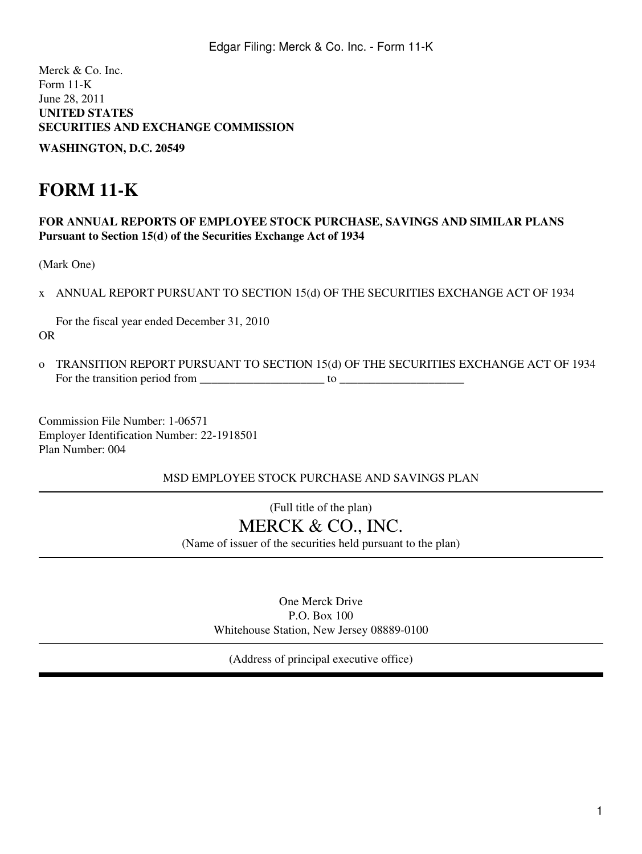Merck & Co. Inc. Form 11-K June 28, 2011 **UNITED STATES SECURITIES AND EXCHANGE COMMISSION**

**WASHINGTON, D.C. 20549**

# **FORM 11-K**

### **FOR ANNUAL REPORTS OF EMPLOYEE STOCK PURCHASE, SAVINGS AND SIMILAR PLANS Pursuant to Section 15(d) of the Securities Exchange Act of 1934**

(Mark One)

x ANNUAL REPORT PURSUANT TO SECTION 15(d) OF THE SECURITIES EXCHANGE ACT OF 1934

For the fiscal year ended December 31, 2010 OR

o TRANSITION REPORT PURSUANT TO SECTION 15(d) OF THE SECURITIES EXCHANGE ACT OF 1934 For the transition period from  $\frac{1}{\sqrt{1-\frac{1}{2}}}\cos\left(\frac{1}{2}ar\right)$ 

Commission File Number: 1-06571 Employer Identification Number: 22-1918501 Plan Number: 004

MSD EMPLOYEE STOCK PURCHASE AND SAVINGS PLAN

(Full title of the plan) MERCK & CO., INC. (Name of issuer of the securities held pursuant to the plan)

> One Merck Drive P.O. Box 100 Whitehouse Station, New Jersey 08889-0100

(Address of principal executive office)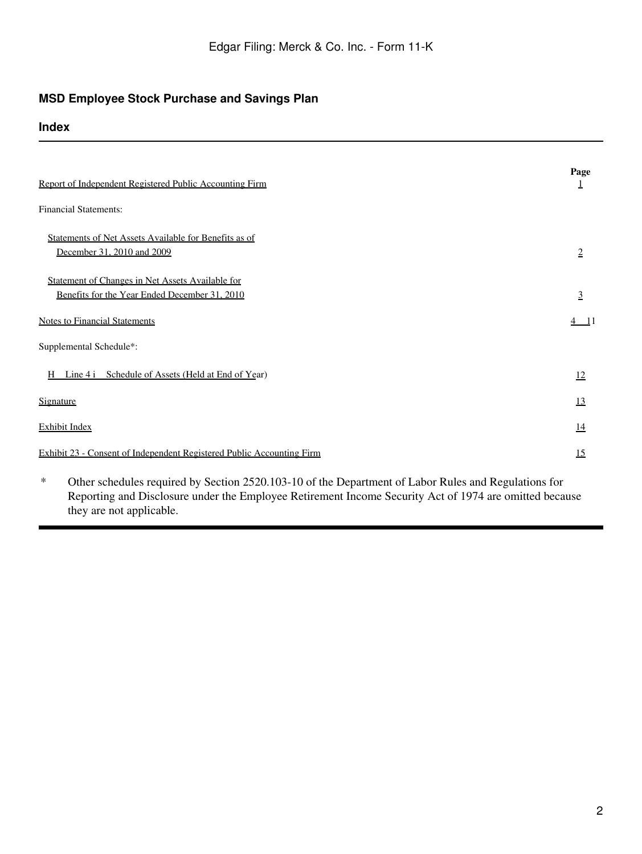# **Index**

| Report of Independent Registered Public Accounting Firm                                           | Page           |
|---------------------------------------------------------------------------------------------------|----------------|
| <b>Financial Statements:</b>                                                                      |                |
| Statements of Net Assets Available for Benefits as of<br>December 31, 2010 and 2009               | 2              |
| Statement of Changes in Net Assets Available for<br>Benefits for the Year Ended December 31, 2010 | $\overline{3}$ |
| <b>Notes to Financial Statements</b>                                                              | 4 11           |
| Supplemental Schedule*:                                                                           |                |
| Schedule of Assets (Held at End of Year)<br>Line $4i$<br>H                                        | 12             |
| <b>Signature</b>                                                                                  | <u>13</u>      |
| <b>Exhibit Index</b>                                                                              | 14             |
| <b>Exhibit 23 - Consent of Independent Registered Public Accounting Firm</b>                      | 15             |

\* Other schedules required by Section 2520.103-10 of the Department of Labor Rules and Regulations for Reporting and Disclosure under the Employee Retirement Income Security Act of 1974 are omitted because they are not applicable.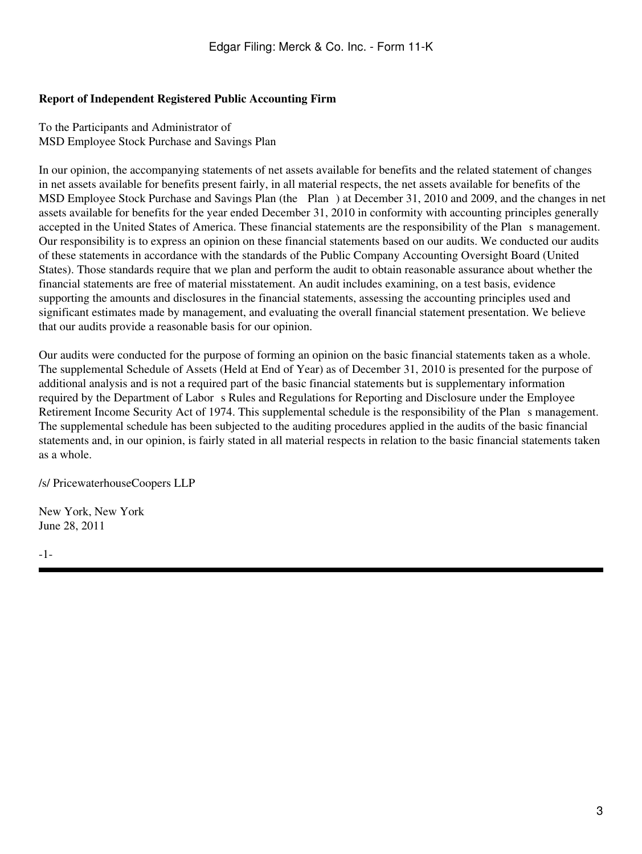# <span id="page-2-0"></span>**Report of Independent Registered Public Accounting Firm**

To the Participants and Administrator of MSD Employee Stock Purchase and Savings Plan

In our opinion, the accompanying statements of net assets available for benefits and the related statement of changes in net assets available for benefits present fairly, in all material respects, the net assets available for benefits of the MSD Employee Stock Purchase and Savings Plan (the Plan) at December 31, 2010 and 2009, and the changes in net assets available for benefits for the year ended December 31, 2010 in conformity with accounting principles generally accepted in the United States of America. These financial statements are the responsibility of the Plans management. Our responsibility is to express an opinion on these financial statements based on our audits. We conducted our audits of these statements in accordance with the standards of the Public Company Accounting Oversight Board (United States). Those standards require that we plan and perform the audit to obtain reasonable assurance about whether the financial statements are free of material misstatement. An audit includes examining, on a test basis, evidence supporting the amounts and disclosures in the financial statements, assessing the accounting principles used and significant estimates made by management, and evaluating the overall financial statement presentation. We believe that our audits provide a reasonable basis for our opinion.

Our audits were conducted for the purpose of forming an opinion on the basic financial statements taken as a whole. The supplemental Schedule of Assets (Held at End of Year) as of December 31, 2010 is presented for the purpose of additional analysis and is not a required part of the basic financial statements but is supplementary information required by the Department of Labor s Rules and Regulations for Reporting and Disclosure under the Employee Retirement Income Security Act of 1974. This supplemental schedule is the responsibility of the Plan s management. The supplemental schedule has been subjected to the auditing procedures applied in the audits of the basic financial statements and, in our opinion, is fairly stated in all material respects in relation to the basic financial statements taken as a whole.

/s/ PricewaterhouseCoopers LLP

New York, New York June 28, 2011

-1-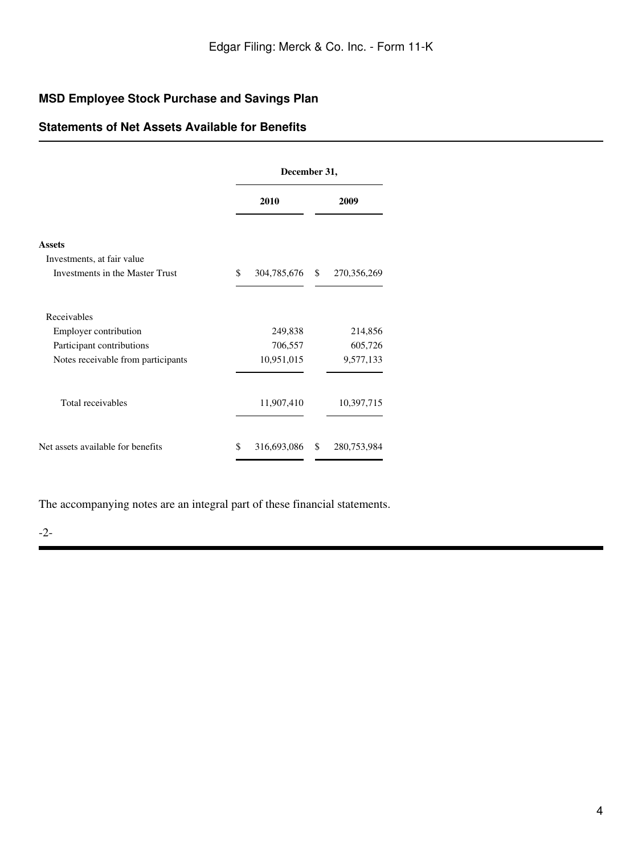# <span id="page-3-0"></span>**Statements of Net Assets Available for Benefits**

|                                    | December 31, |             |    |               |
|------------------------------------|--------------|-------------|----|---------------|
|                                    | 2010         |             |    | 2009          |
| <b>Assets</b>                      |              |             |    |               |
| Investments, at fair value         |              |             |    |               |
| Investments in the Master Trust    | \$           | 304,785,676 | S  | 270, 356, 269 |
| Receivables                        |              |             |    |               |
| Employer contribution              |              | 249,838     |    | 214,856       |
| Participant contributions          |              | 706,557     |    | 605,726       |
| Notes receivable from participants |              | 10,951,015  |    | 9,577,133     |
| Total receivables                  |              | 11,907,410  |    | 10,397,715    |
| Net assets available for benefits  | \$           | 316,693,086 | \$ | 280,753,984   |

The accompanying notes are an integral part of these financial statements.

-2-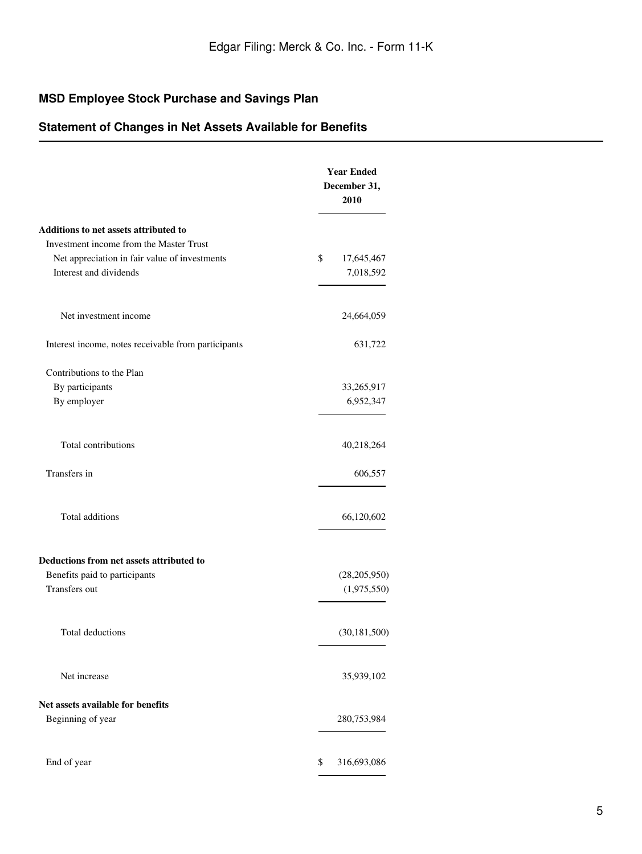# <span id="page-4-0"></span>**Statement of Changes in Net Assets Available for Benefits**

|                                                     | <b>Year Ended</b><br>December 31,<br>2010 |  |  |
|-----------------------------------------------------|-------------------------------------------|--|--|
| Additions to net assets attributed to               |                                           |  |  |
| Investment income from the Master Trust             |                                           |  |  |
| Net appreciation in fair value of investments       | \$<br>17,645,467                          |  |  |
| Interest and dividends                              | 7,018,592                                 |  |  |
| Net investment income                               | 24,664,059                                |  |  |
| Interest income, notes receivable from participants | 631,722                                   |  |  |
| Contributions to the Plan                           |                                           |  |  |
| By participants                                     | 33,265,917                                |  |  |
| By employer                                         | 6,952,347                                 |  |  |
| Total contributions                                 | 40,218,264                                |  |  |
| Transfers in                                        | 606,557                                   |  |  |
| <b>Total additions</b>                              | 66,120,602                                |  |  |
| Deductions from net assets attributed to            |                                           |  |  |
| Benefits paid to participants                       | (28, 205, 950)                            |  |  |
| Transfers out                                       | (1,975,550)                               |  |  |
| <b>Total deductions</b>                             | (30, 181, 500)                            |  |  |
| Net increase                                        | 35,939,102                                |  |  |
| Net assets available for benefits                   |                                           |  |  |
| Beginning of year                                   | 280,753,984                               |  |  |
| End of year                                         | \$<br>316,693,086                         |  |  |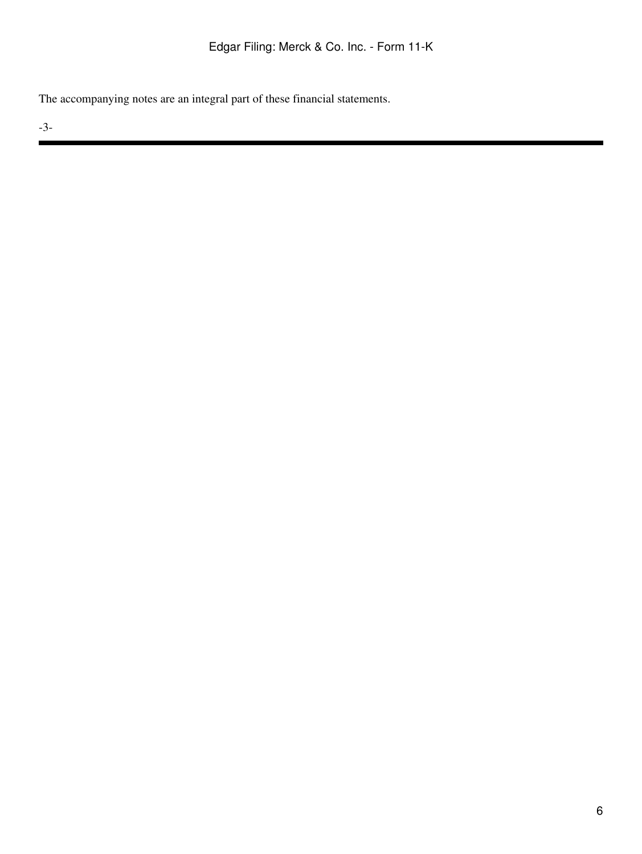The accompanying notes are an integral part of these financial statements.

-3-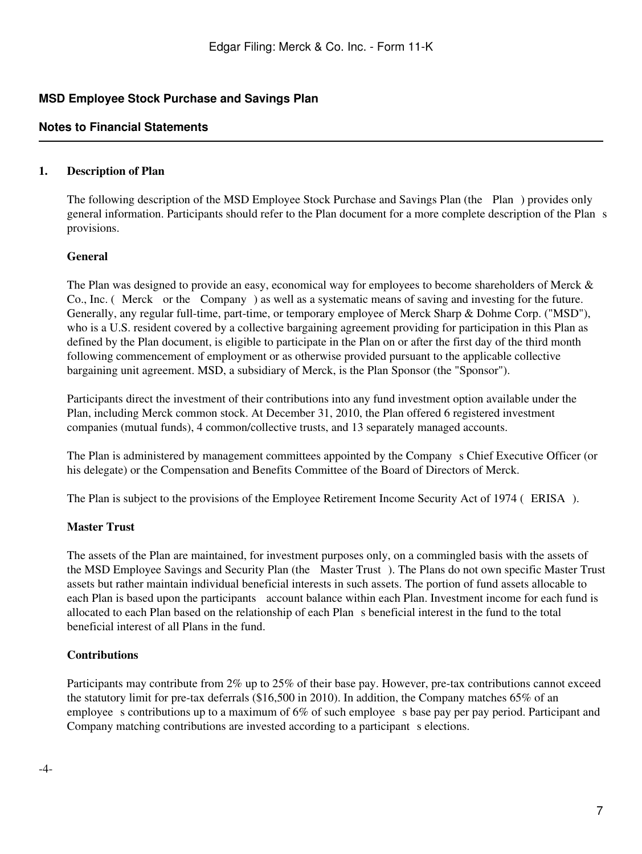### <span id="page-6-0"></span>**Notes to Financial Statements**

#### **1. Description of Plan**

The following description of the MSD Employee Stock Purchase and Savings Plan (the Plan) provides only general information. Participants should refer to the Plan document for a more complete description of the Plan s provisions.

#### **General**

The Plan was designed to provide an easy, economical way for employees to become shareholders of Merck & Co., Inc. (Merck or the Company) as well as a systematic means of saving and investing for the future. Generally, any regular full-time, part-time, or temporary employee of Merck Sharp & Dohme Corp. ("MSD"), who is a U.S. resident covered by a collective bargaining agreement providing for participation in this Plan as defined by the Plan document, is eligible to participate in the Plan on or after the first day of the third month following commencement of employment or as otherwise provided pursuant to the applicable collective bargaining unit agreement. MSD, a subsidiary of Merck, is the Plan Sponsor (the "Sponsor").

Participants direct the investment of their contributions into any fund investment option available under the Plan, including Merck common stock. At December 31, 2010, the Plan offered 6 registered investment companies (mutual funds), 4 common/collective trusts, and 13 separately managed accounts.

The Plan is administered by management committees appointed by the Companys Chief Executive Officer (or his delegate) or the Compensation and Benefits Committee of the Board of Directors of Merck.

The Plan is subject to the provisions of the Employee Retirement Income Security Act of 1974 (ERISA).

#### **Master Trust**

The assets of the Plan are maintained, for investment purposes only, on a commingled basis with the assets of the MSD Employee Savings and Security Plan (the Master Trust). The Plans do not own specific Master Trust assets but rather maintain individual beneficial interests in such assets. The portion of fund assets allocable to each Plan is based upon the participants account balance within each Plan. Investment income for each fund is allocated to each Plan based on the relationship of each Plans beneficial interest in the fund to the total beneficial interest of all Plans in the fund.

#### **Contributions**

Participants may contribute from 2% up to 25% of their base pay. However, pre-tax contributions cannot exceed the statutory limit for pre-tax deferrals (\$16,500 in 2010). In addition, the Company matches 65% of an employee s contributions up to a maximum of 6% of such employee s base pay per pay period. Participant and Company matching contributions are invested according to a participant s elections.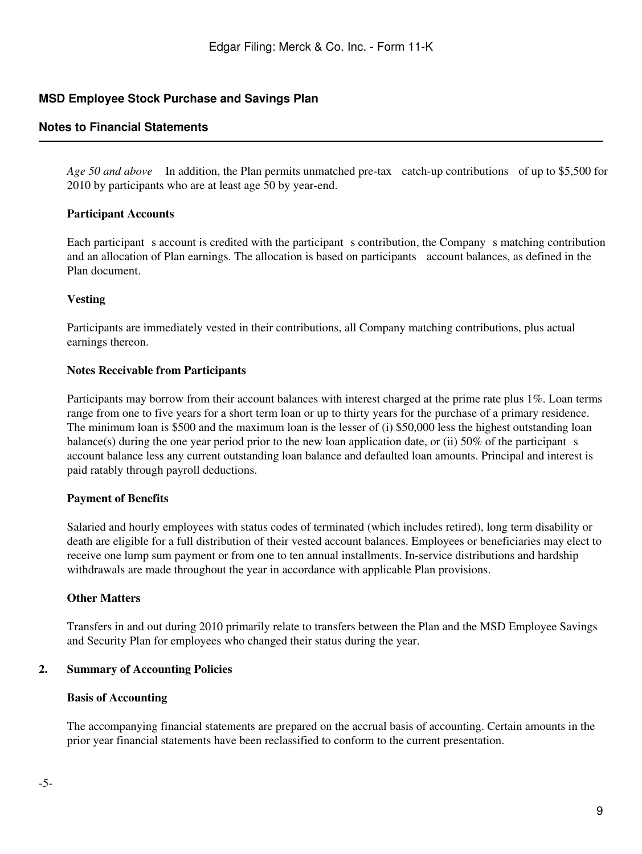#### **Notes to Financial Statements**

*Age 50 and above* In addition, the Plan permits unmatched pre-tax catch-up contributions of up to \$5,500 for 2010 by participants who are at least age 50 by year-end.

#### **Participant Accounts**

Each participant s account is credited with the participant s contribution, the Company s matching contribution and an allocation of Plan earnings. The allocation is based on participants account balances, as defined in the Plan document.

#### **Vesting**

Participants are immediately vested in their contributions, all Company matching contributions, plus actual earnings thereon.

#### **Notes Receivable from Participants**

Participants may borrow from their account balances with interest charged at the prime rate plus 1%. Loan terms range from one to five years for a short term loan or up to thirty years for the purchase of a primary residence. The minimum loan is \$500 and the maximum loan is the lesser of (i) \$50,000 less the highest outstanding loan balance(s) during the one year period prior to the new loan application date, or (ii)  $50\%$  of the participant s account balance less any current outstanding loan balance and defaulted loan amounts. Principal and interest is paid ratably through payroll deductions.

#### **Payment of Benefits**

Salaried and hourly employees with status codes of terminated (which includes retired), long term disability or death are eligible for a full distribution of their vested account balances. Employees or beneficiaries may elect to receive one lump sum payment or from one to ten annual installments. In-service distributions and hardship withdrawals are made throughout the year in accordance with applicable Plan provisions.

#### **Other Matters**

Transfers in and out during 2010 primarily relate to transfers between the Plan and the MSD Employee Savings and Security Plan for employees who changed their status during the year.

#### **2. Summary of Accounting Policies**

#### **Basis of Accounting**

The accompanying financial statements are prepared on the accrual basis of accounting. Certain amounts in the prior year financial statements have been reclassified to conform to the current presentation.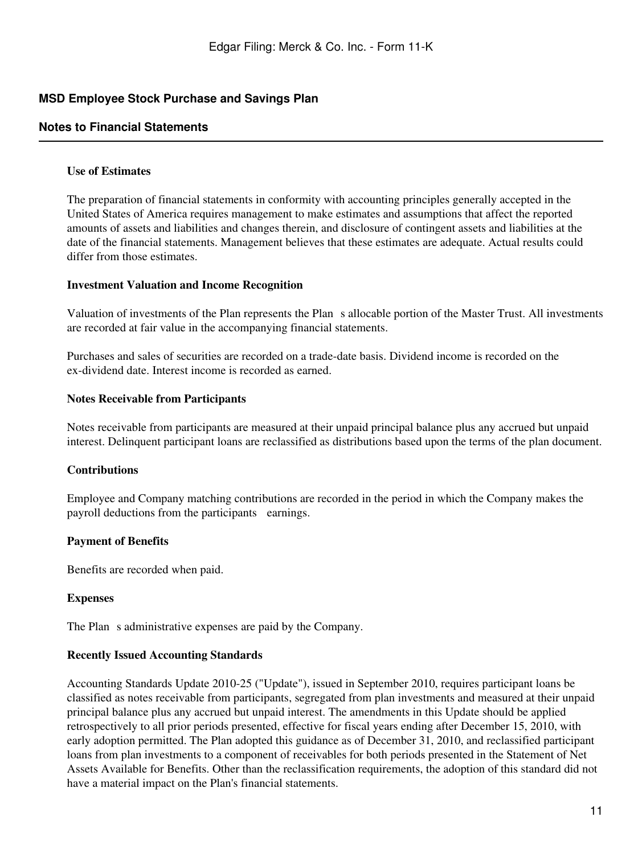### **Notes to Financial Statements**

#### **Use of Estimates**

The preparation of financial statements in conformity with accounting principles generally accepted in the United States of America requires management to make estimates and assumptions that affect the reported amounts of assets and liabilities and changes therein, and disclosure of contingent assets and liabilities at the date of the financial statements. Management believes that these estimates are adequate. Actual results could differ from those estimates.

#### **Investment Valuation and Income Recognition**

Valuation of investments of the Plan represents the Plan s allocable portion of the Master Trust. All investments are recorded at fair value in the accompanying financial statements.

Purchases and sales of securities are recorded on a trade-date basis. Dividend income is recorded on the ex-dividend date. Interest income is recorded as earned.

#### **Notes Receivable from Participants**

Notes receivable from participants are measured at their unpaid principal balance plus any accrued but unpaid interest. Delinquent participant loans are reclassified as distributions based upon the terms of the plan document.

#### **Contributions**

Employee and Company matching contributions are recorded in the period in which the Company makes the payroll deductions from the participants earnings.

#### **Payment of Benefits**

Benefits are recorded when paid.

#### **Expenses**

The Plan s administrative expenses are paid by the Company.

#### **Recently Issued Accounting Standards**

Accounting Standards Update 2010-25 ("Update"), issued in September 2010, requires participant loans be classified as notes receivable from participants, segregated from plan investments and measured at their unpaid principal balance plus any accrued but unpaid interest. The amendments in this Update should be applied retrospectively to all prior periods presented, effective for fiscal years ending after December 15, 2010, with early adoption permitted. The Plan adopted this guidance as of December 31, 2010, and reclassified participant loans from plan investments to a component of receivables for both periods presented in the Statement of Net Assets Available for Benefits. Other than the reclassification requirements, the adoption of this standard did not have a material impact on the Plan's financial statements.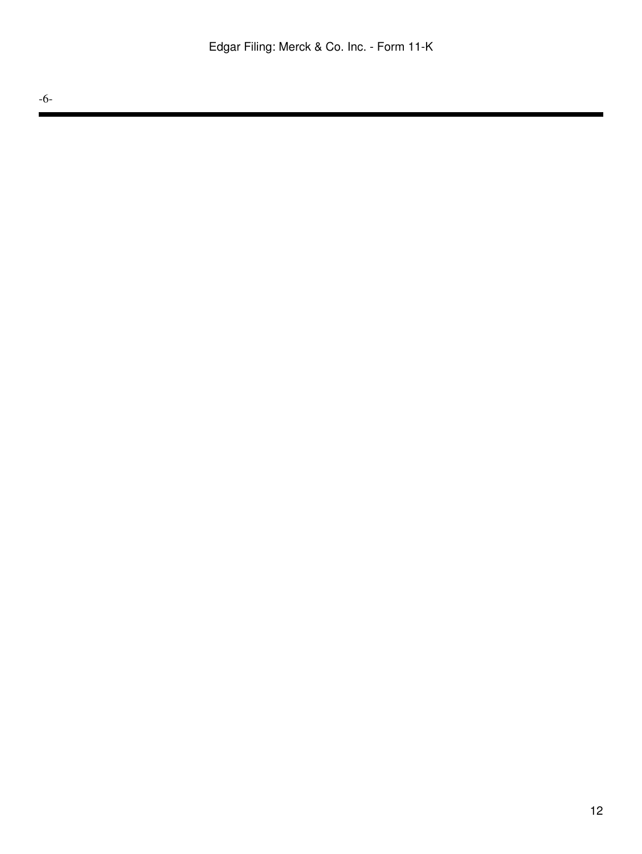Edgar Filing: Merck & Co. Inc. - Form 11-K

-6-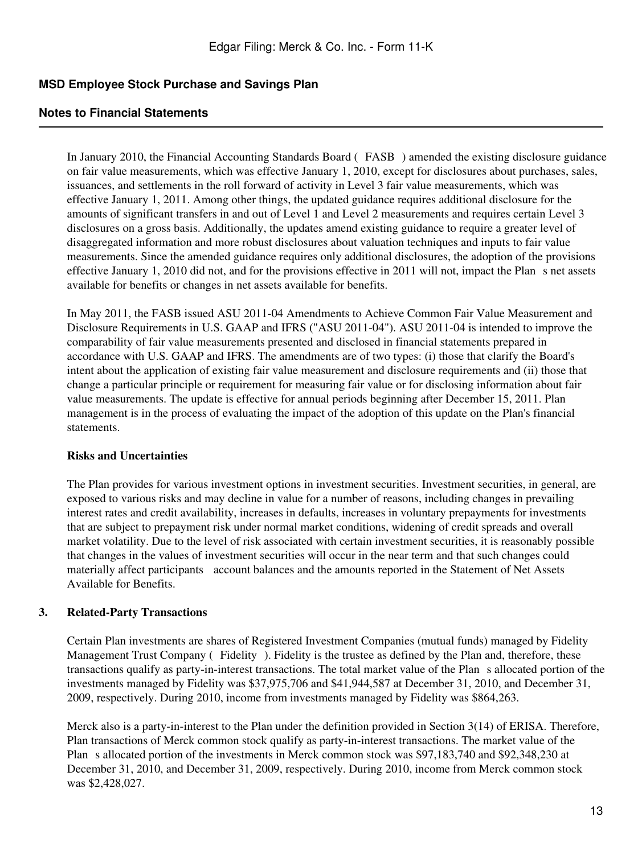### **Notes to Financial Statements**

In January 2010, the Financial Accounting Standards Board (FASB) amended the existing disclosure guidance on fair value measurements, which was effective January 1, 2010, except for disclosures about purchases, sales, issuances, and settlements in the roll forward of activity in Level 3 fair value measurements, which was effective January 1, 2011. Among other things, the updated guidance requires additional disclosure for the amounts of significant transfers in and out of Level 1 and Level 2 measurements and requires certain Level 3 disclosures on a gross basis. Additionally, the updates amend existing guidance to require a greater level of disaggregated information and more robust disclosures about valuation techniques and inputs to fair value measurements. Since the amended guidance requires only additional disclosures, the adoption of the provisions effective January 1, 2010 did not, and for the provisions effective in 2011 will not, impact the Plan s net assets available for benefits or changes in net assets available for benefits.

In May 2011, the FASB issued ASU 2011-04 Amendments to Achieve Common Fair Value Measurement and Disclosure Requirements in U.S. GAAP and IFRS ("ASU 2011-04"). ASU 2011-04 is intended to improve the comparability of fair value measurements presented and disclosed in financial statements prepared in accordance with U.S. GAAP and IFRS. The amendments are of two types: (i) those that clarify the Board's intent about the application of existing fair value measurement and disclosure requirements and (ii) those that change a particular principle or requirement for measuring fair value or for disclosing information about fair value measurements. The update is effective for annual periods beginning after December 15, 2011. Plan management is in the process of evaluating the impact of the adoption of this update on the Plan's financial statements.

#### **Risks and Uncertainties**

The Plan provides for various investment options in investment securities. Investment securities, in general, are exposed to various risks and may decline in value for a number of reasons, including changes in prevailing interest rates and credit availability, increases in defaults, increases in voluntary prepayments for investments that are subject to prepayment risk under normal market conditions, widening of credit spreads and overall market volatility. Due to the level of risk associated with certain investment securities, it is reasonably possible that changes in the values of investment securities will occur in the near term and that such changes could materially affect participants account balances and the amounts reported in the Statement of Net Assets Available for Benefits.

#### **3. Related-Party Transactions**

Certain Plan investments are shares of Registered Investment Companies (mutual funds) managed by Fidelity Management Trust Company (Fidelity). Fidelity is the trustee as defined by the Plan and, therefore, these transactions qualify as party-in-interest transactions. The total market value of the Plans allocated portion of the investments managed by Fidelity was \$37,975,706 and \$41,944,587 at December 31, 2010, and December 31, 2009, respectively. During 2010, income from investments managed by Fidelity was \$864,263.

Merck also is a party-in-interest to the Plan under the definition provided in Section 3(14) of ERISA. Therefore, Plan transactions of Merck common stock qualify as party-in-interest transactions. The market value of the Plan s allocated portion of the investments in Merck common stock was \$97,183,740 and \$92,348,230 at December 31, 2010, and December 31, 2009, respectively. During 2010, income from Merck common stock was \$2,428,027.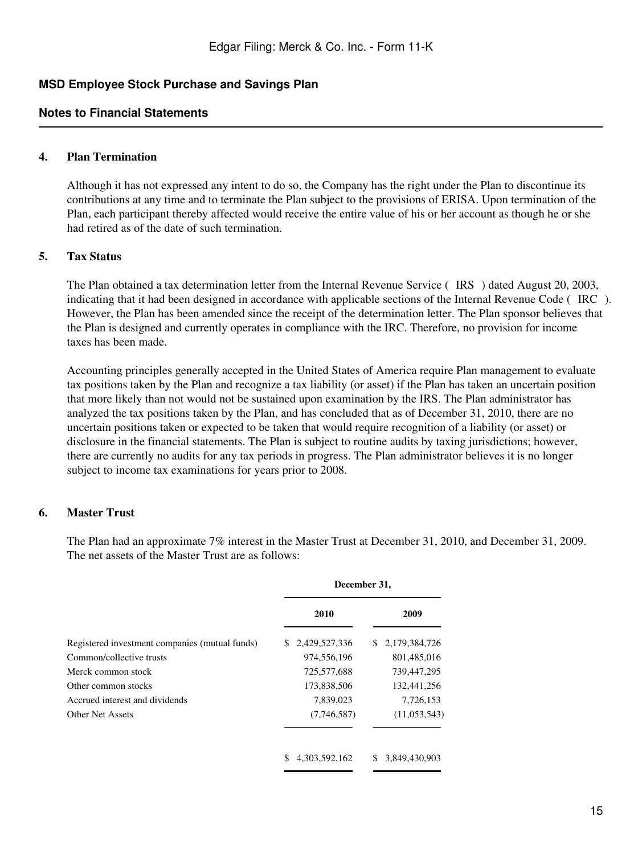### **Notes to Financial Statements**

#### **4. Plan Termination**

Although it has not expressed any intent to do so, the Company has the right under the Plan to discontinue its contributions at any time and to terminate the Plan subject to the provisions of ERISA. Upon termination of the Plan, each participant thereby affected would receive the entire value of his or her account as though he or she had retired as of the date of such termination.

#### **5. Tax Status**

The Plan obtained a tax determination letter from the Internal Revenue Service (IRS) dated August 20, 2003, indicating that it had been designed in accordance with applicable sections of the Internal Revenue Code (IRC). However, the Plan has been amended since the receipt of the determination letter. The Plan sponsor believes that the Plan is designed and currently operates in compliance with the IRC. Therefore, no provision for income taxes has been made.

Accounting principles generally accepted in the United States of America require Plan management to evaluate tax positions taken by the Plan and recognize a tax liability (or asset) if the Plan has taken an uncertain position that more likely than not would not be sustained upon examination by the IRS. The Plan administrator has analyzed the tax positions taken by the Plan, and has concluded that as of December 31, 2010, there are no uncertain positions taken or expected to be taken that would require recognition of a liability (or asset) or disclosure in the financial statements. The Plan is subject to routine audits by taxing jurisdictions; however, there are currently no audits for any tax periods in progress. The Plan administrator believes it is no longer subject to income tax examinations for years prior to 2008.

### **6. Master Trust**

The Plan had an approximate 7% interest in the Master Trust at December 31, 2010, and December 31, 2009. The net assets of the Master Trust are as follows:

|                                                | December 31,        |                      |  |
|------------------------------------------------|---------------------|----------------------|--|
|                                                | 2010                | 2009                 |  |
| Registered investment companies (mutual funds) | 2,429,527,336<br>S. | \$ 2,179,384,726     |  |
| Common/collective trusts                       | 974,556,196         | 801,485,016          |  |
| Merck common stock                             | 725,577,688         | 739,447,295          |  |
| Other common stocks                            | 173,838,506         | 132,441,256          |  |
| Accrued interest and dividends                 | 7,839,023           | 7,726,153            |  |
| <b>Other Net Assets</b>                        | (7,746,587)         | (11,053,543)         |  |
|                                                | 4,303,592,162<br>S  | 3,849,430,903<br>\$. |  |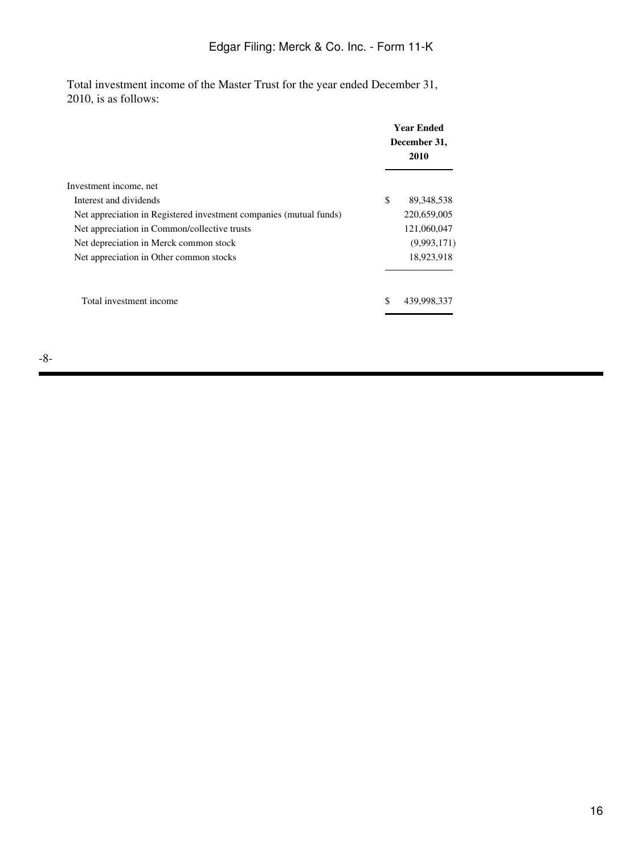Total investment income of the Master Trust for the year ended December 31, 2010, is as follows:

|                                                                    | <b>Year Ended</b><br>December 31,<br>2010 |
|--------------------------------------------------------------------|-------------------------------------------|
| Investment income, net                                             |                                           |
| Interest and dividends                                             | \$<br>89, 348, 538                        |
| Net appreciation in Registered investment companies (mutual funds) | 220,659,005                               |
| Net appreciation in Common/collective trusts                       | 121,060,047                               |
| Net depreciation in Merck common stock                             | (9,993,171)                               |
| Net appreciation in Other common stocks                            | 18,923,918                                |
| Total investment income                                            | \$<br>439.998.337                         |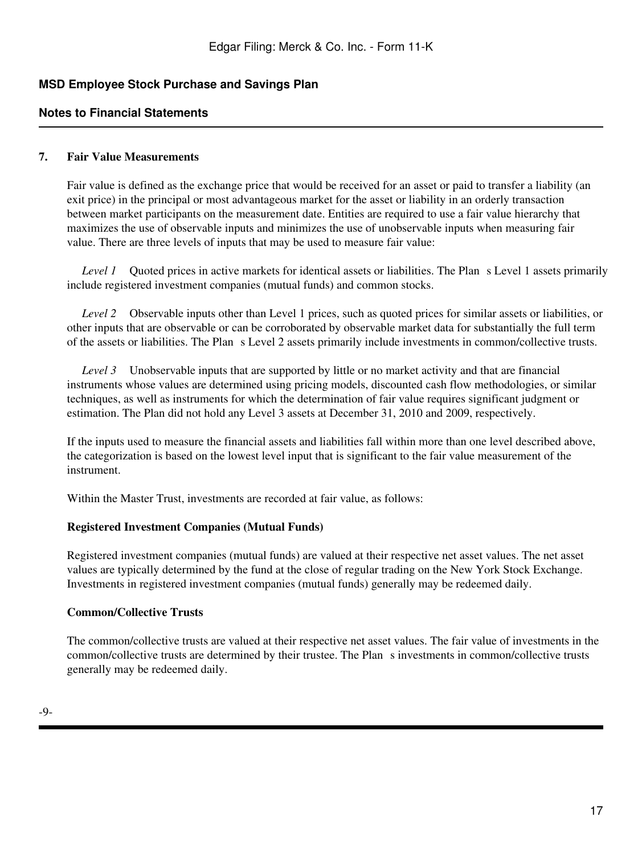### **Notes to Financial Statements**

#### **7. Fair Value Measurements**

Fair value is defined as the exchange price that would be received for an asset or paid to transfer a liability (an exit price) in the principal or most advantageous market for the asset or liability in an orderly transaction between market participants on the measurement date. Entities are required to use a fair value hierarchy that maximizes the use of observable inputs and minimizes the use of unobservable inputs when measuring fair value. There are three levels of inputs that may be used to measure fair value:

*Level 1* Ouoted prices in active markets for identical assets or liabilities. The Plan s Level 1 assets primarily include registered investment companies (mutual funds) and common stocks.

 *Level 2* Observable inputs other than Level 1 prices, such as quoted prices for similar assets or liabilities, or other inputs that are observable or can be corroborated by observable market data for substantially the full term of the assets or liabilities. The Plans Level 2 assets primarily include investments in common/collective trusts.

 *Level 3* Unobservable inputs that are supported by little or no market activity and that are financial instruments whose values are determined using pricing models, discounted cash flow methodologies, or similar techniques, as well as instruments for which the determination of fair value requires significant judgment or estimation. The Plan did not hold any Level 3 assets at December 31, 2010 and 2009, respectively.

If the inputs used to measure the financial assets and liabilities fall within more than one level described above, the categorization is based on the lowest level input that is significant to the fair value measurement of the instrument.

Within the Master Trust, investments are recorded at fair value, as follows:

#### **Registered Investment Companies (Mutual Funds)**

Registered investment companies (mutual funds) are valued at their respective net asset values. The net asset values are typically determined by the fund at the close of regular trading on the New York Stock Exchange. Investments in registered investment companies (mutual funds) generally may be redeemed daily.

#### **Common/Collective Trusts**

The common/collective trusts are valued at their respective net asset values. The fair value of investments in the common/collective trusts are determined by their trustee. The Plans investments in common/collective trusts generally may be redeemed daily.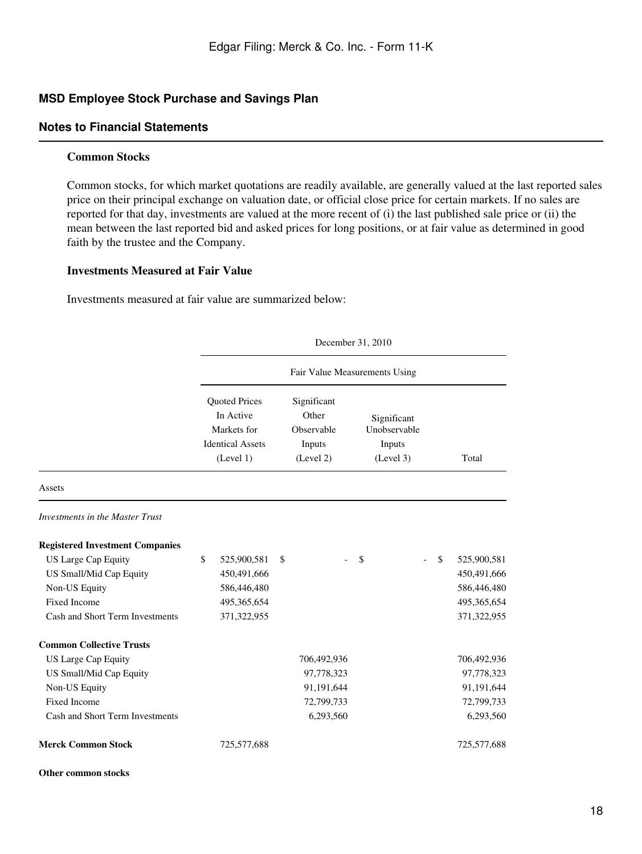### **Notes to Financial Statements**

#### **Common Stocks**

Common stocks, for which market quotations are readily available, are generally valued at the last reported sales price on their principal exchange on valuation date, or official close price for certain markets. If no sales are reported for that day, investments are valued at the more recent of (i) the last published sale price or (ii) the mean between the last reported bid and asked prices for long positions, or at fair value as determined in good faith by the trustee and the Company.

#### **Investments Measured at Fair Value**

Investments measured at fair value are summarized below:

|                                        |                               | December 31, 2010                                                                        |               |                                                           |                                                    |               |             |  |
|----------------------------------------|-------------------------------|------------------------------------------------------------------------------------------|---------------|-----------------------------------------------------------|----------------------------------------------------|---------------|-------------|--|
|                                        | Fair Value Measurements Using |                                                                                          |               |                                                           |                                                    |               |             |  |
|                                        |                               | <b>Quoted Prices</b><br>In Active<br>Markets for<br><b>Identical Assets</b><br>(Level 1) |               | Significant<br>Other<br>Observable<br>Inputs<br>(Level 2) | Significant<br>Unobservable<br>Inputs<br>(Level 3) |               | Total       |  |
| Assets                                 |                               |                                                                                          |               |                                                           |                                                    |               |             |  |
| <b>Investments in the Master Trust</b> |                               |                                                                                          |               |                                                           |                                                    |               |             |  |
| <b>Registered Investment Companies</b> |                               |                                                                                          |               |                                                           |                                                    |               |             |  |
| <b>US Large Cap Equity</b>             | \$                            | 525,900,581                                                                              | $\mathcal{S}$ |                                                           | \$                                                 | $\mathcal{S}$ | 525,900,581 |  |
| US Small/Mid Cap Equity                |                               | 450,491,666                                                                              |               |                                                           |                                                    |               | 450,491,666 |  |
| Non-US Equity                          |                               | 586,446,480                                                                              |               |                                                           |                                                    |               | 586,446,480 |  |
| <b>Fixed Income</b>                    |                               | 495,365,654                                                                              |               |                                                           |                                                    |               | 495,365,654 |  |
| Cash and Short Term Investments        |                               | 371,322,955                                                                              |               |                                                           |                                                    |               | 371,322,955 |  |
| <b>Common Collective Trusts</b>        |                               |                                                                                          |               |                                                           |                                                    |               |             |  |
| US Large Cap Equity                    |                               |                                                                                          |               | 706,492,936                                               |                                                    |               | 706,492,936 |  |
| US Small/Mid Cap Equity                |                               |                                                                                          |               | 97,778,323                                                |                                                    |               | 97,778,323  |  |
| Non-US Equity                          |                               |                                                                                          |               | 91,191,644                                                |                                                    |               | 91,191,644  |  |
| <b>Fixed Income</b>                    |                               |                                                                                          |               | 72,799,733                                                |                                                    |               | 72,799,733  |  |
| Cash and Short Term Investments        |                               |                                                                                          |               | 6,293,560                                                 |                                                    |               | 6,293,560   |  |
| <b>Merck Common Stock</b>              |                               | 725,577,688                                                                              |               |                                                           |                                                    |               | 725,577,688 |  |

#### **Other common stocks**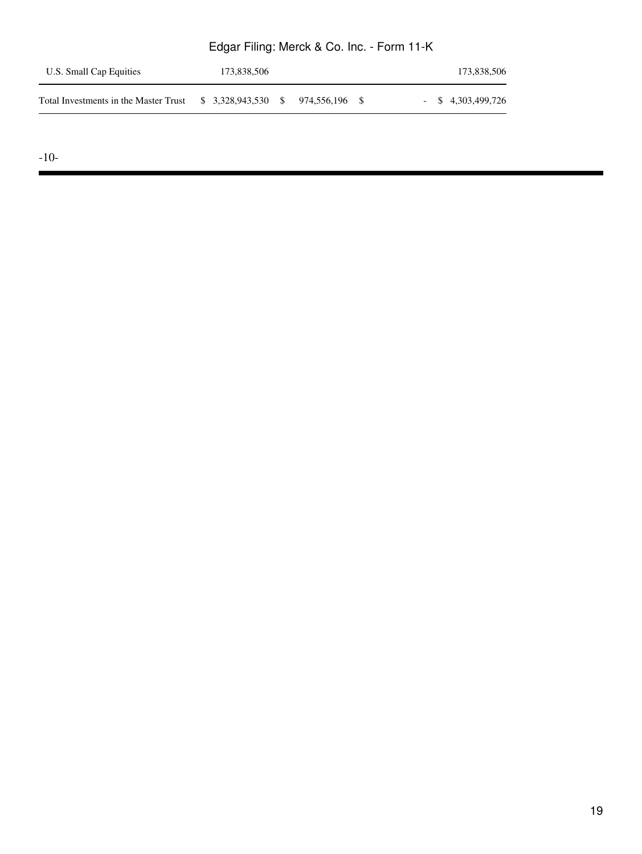| Edgar Filing: Merck & Co. Inc. - Form 11-K |  |  |
|--------------------------------------------|--|--|
|--------------------------------------------|--|--|

| U.S. Small Cap Equities               | 173.838.506         |                | 173.838.506          |
|---------------------------------------|---------------------|----------------|----------------------|
| Total Investments in the Master Trust | \$ 3.328.943.530 \$ | 974.556.196 \$ | $-$ \$ 4,303,499,726 |

-10-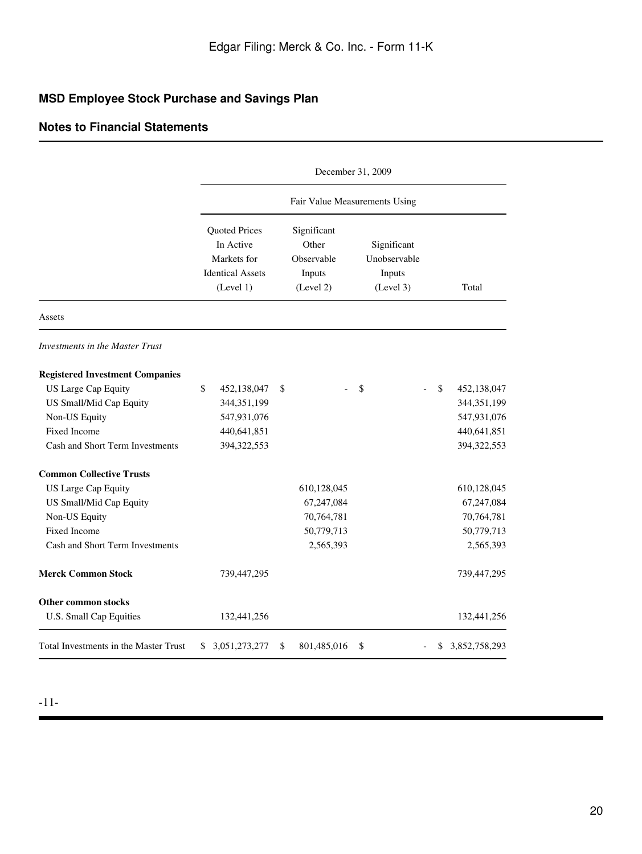# **Notes to Financial Statements**

|                                        | December 31, 2009             |                                                                                          |    |                                                           |    |                                                    |    |               |  |
|----------------------------------------|-------------------------------|------------------------------------------------------------------------------------------|----|-----------------------------------------------------------|----|----------------------------------------------------|----|---------------|--|
|                                        | Fair Value Measurements Using |                                                                                          |    |                                                           |    |                                                    |    |               |  |
|                                        |                               | <b>Quoted Prices</b><br>In Active<br>Markets for<br><b>Identical Assets</b><br>(Level 1) |    | Significant<br>Other<br>Observable<br>Inputs<br>(Level 2) |    | Significant<br>Unobservable<br>Inputs<br>(Level 3) |    | Total         |  |
| Assets                                 |                               |                                                                                          |    |                                                           |    |                                                    |    |               |  |
| Investments in the Master Trust        |                               |                                                                                          |    |                                                           |    |                                                    |    |               |  |
| <b>Registered Investment Companies</b> |                               |                                                                                          |    |                                                           |    |                                                    |    |               |  |
| US Large Cap Equity                    | \$                            | 452,138,047                                                                              | \$ |                                                           | \$ |                                                    | \$ | 452,138,047   |  |
| US Small/Mid Cap Equity                |                               | 344,351,199                                                                              |    |                                                           |    |                                                    |    | 344,351,199   |  |
| Non-US Equity                          |                               | 547,931,076                                                                              |    |                                                           |    |                                                    |    | 547,931,076   |  |
| <b>Fixed Income</b>                    |                               | 440,641,851                                                                              |    |                                                           |    |                                                    |    | 440,641,851   |  |
| Cash and Short Term Investments        |                               | 394, 322, 553                                                                            |    |                                                           |    |                                                    |    | 394, 322, 553 |  |
| <b>Common Collective Trusts</b>        |                               |                                                                                          |    |                                                           |    |                                                    |    |               |  |
| US Large Cap Equity                    |                               |                                                                                          |    | 610,128,045                                               |    |                                                    |    | 610,128,045   |  |
| US Small/Mid Cap Equity                |                               |                                                                                          |    | 67,247,084                                                |    |                                                    |    | 67,247,084    |  |
| Non-US Equity                          |                               |                                                                                          |    | 70,764,781                                                |    |                                                    |    | 70,764,781    |  |
| Fixed Income                           |                               |                                                                                          |    | 50,779,713                                                |    |                                                    |    | 50,779,713    |  |
| Cash and Short Term Investments        |                               |                                                                                          |    | 2,565,393                                                 |    |                                                    |    | 2,565,393     |  |
| <b>Merck Common Stock</b>              |                               | 739,447,295                                                                              |    |                                                           |    |                                                    |    | 739,447,295   |  |
| Other common stocks                    |                               |                                                                                          |    |                                                           |    |                                                    |    |               |  |
| U.S. Small Cap Equities                |                               | 132,441,256                                                                              |    |                                                           |    |                                                    |    | 132,441,256   |  |
| Total Investments in the Master Trust  | S.                            | 3,051,273,277                                                                            | \$ | 801,485,016                                               | \$ |                                                    |    | 3,852,758,293 |  |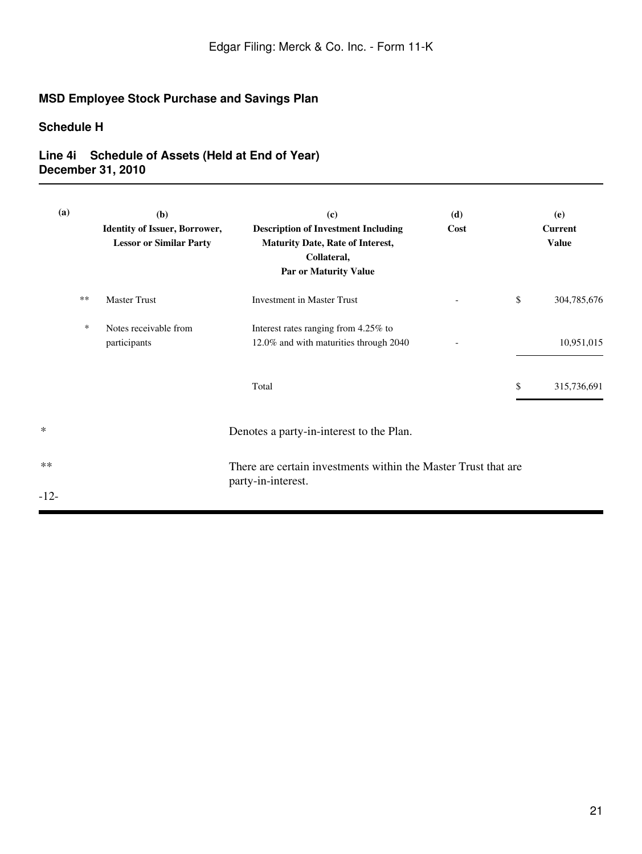# <span id="page-20-0"></span>**Schedule H**

# **Line 4i Schedule of Assets (Held at End of Year) December 31, 2010**

| (a)    |    | (b)<br><b>Identity of Issuer, Borrower,</b><br><b>Lessor or Similar Party</b> | (c)<br><b>Description of Investment Including</b><br><b>Maturity Date, Rate of Interest,</b><br>Collateral,<br><b>Par or Maturity Value</b> | (d)<br>Cost | (e)<br><b>Current</b><br><b>Value</b> |
|--------|----|-------------------------------------------------------------------------------|---------------------------------------------------------------------------------------------------------------------------------------------|-------------|---------------------------------------|
|        | ** | <b>Master Trust</b>                                                           | <b>Investment in Master Trust</b>                                                                                                           |             | \$<br>304,785,676                     |
|        | *  | Notes receivable from<br>participants                                         | Interest rates ranging from 4.25% to<br>12.0% and with maturities through 2040                                                              |             | 10,951,015                            |
|        |    |                                                                               | Total                                                                                                                                       |             | \$<br>315,736,691                     |
| $\ast$ |    |                                                                               | Denotes a party-in-interest to the Plan.                                                                                                    |             |                                       |
| $**$   |    |                                                                               | There are certain investments within the Master Trust that are<br>party-in-interest.                                                        |             |                                       |
| $-12-$ |    |                                                                               |                                                                                                                                             |             |                                       |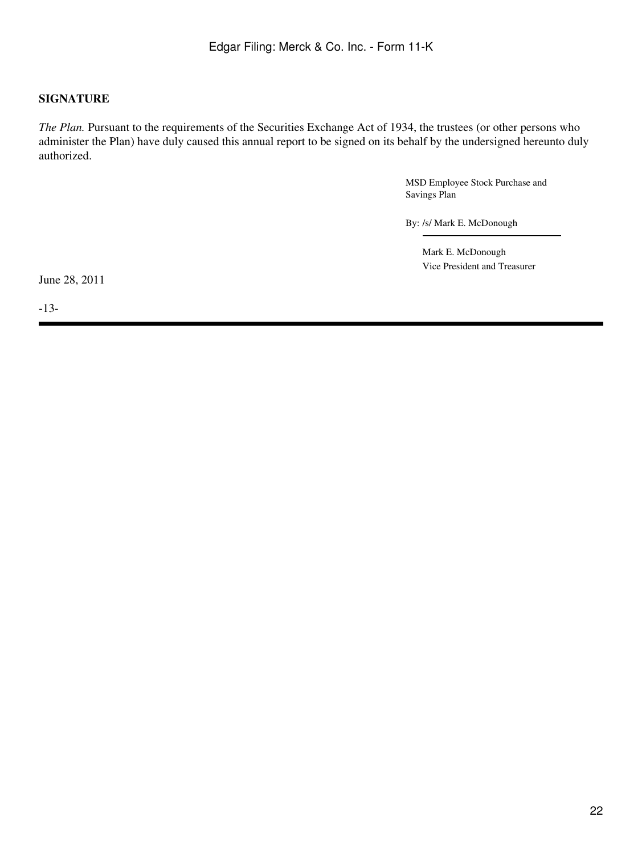### <span id="page-21-0"></span>**SIGNATURE**

*The Plan.* Pursuant to the requirements of the Securities Exchange Act of 1934, the trustees (or other persons who administer the Plan) have duly caused this annual report to be signed on its behalf by the undersigned hereunto duly authorized.

> MSD Employee Stock Purchase and Savings Plan

By: /s/ Mark E. McDonough

Mark E. McDonough Vice President and Treasurer

June 28, 2011

-13-